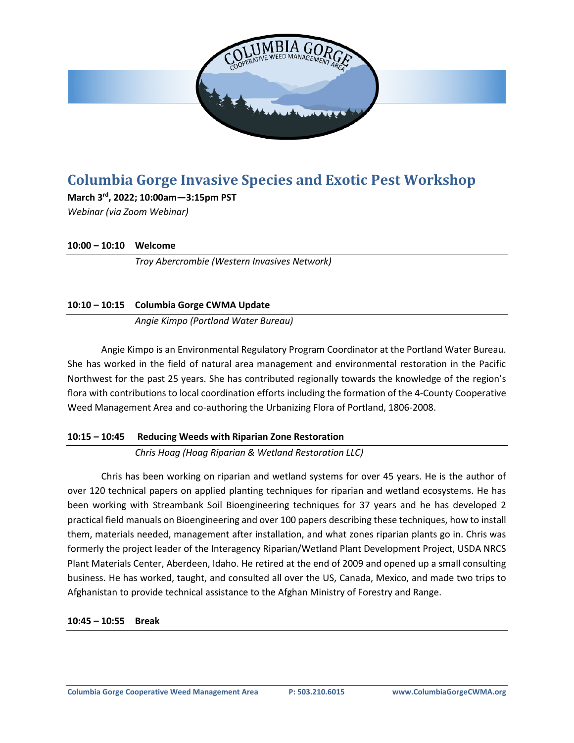

# **Columbia Gorge Invasive Species and Exotic Pest Workshop**

**March 3rd, 2022; 10:00am—3:15pm PST** *Webinar (via Zoom Webinar)*

**10:00 – 10:10 Welcome**

*Troy Abercrombie (Western Invasives Network)*

## **10:10 – 10:15 Columbia Gorge CWMA Update**

*Angie Kimpo (Portland Water Bureau)*

Angie Kimpo is an Environmental Regulatory Program Coordinator at the Portland Water Bureau. She has worked in the field of natural area management and environmental restoration in the Pacific Northwest for the past 25 years. She has contributed regionally towards the knowledge of the region's flora with contributions to local coordination efforts including the formation of the 4-County Cooperative Weed Management Area and co-authoring the Urbanizing Flora of Portland, 1806-2008.

## **10:15 – 10:45 Reducing Weeds with Riparian Zone Restoration**

*Chris Hoag (Hoag Riparian & Wetland Restoration LLC)*

Chris has been working on riparian and wetland systems for over 45 years. He is the author of over 120 technical papers on applied planting techniques for riparian and wetland ecosystems. He has been working with Streambank Soil Bioengineering techniques for 37 years and he has developed 2 practical field manuals on Bioengineering and over 100 papers describing these techniques, how to install them, materials needed, management after installation, and what zones riparian plants go in. Chris was formerly the project leader of the Interagency Riparian/Wetland Plant Development Project, USDA NRCS Plant Materials Center, Aberdeen, Idaho. He retired at the end of 2009 and opened up a small consulting business. He has worked, taught, and consulted all over the US, Canada, Mexico, and made two trips to Afghanistan to provide technical assistance to the Afghan Ministry of Forestry and Range.

## **10:45 – 10:55 Break**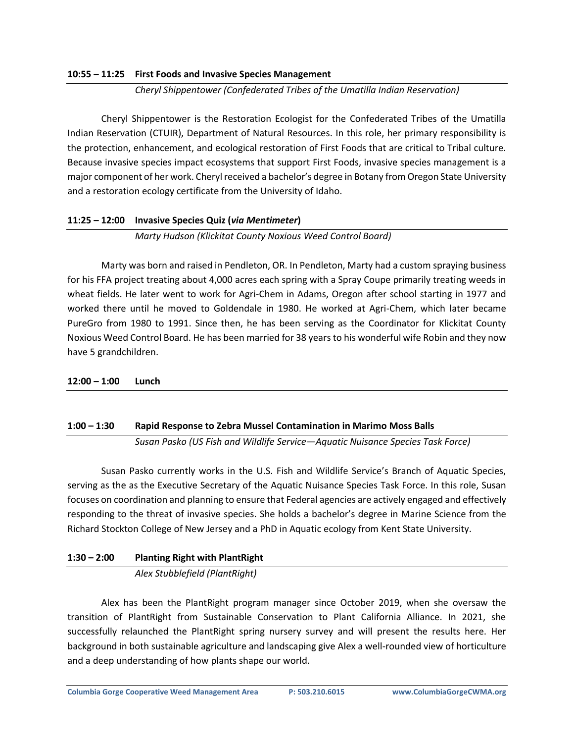## **10:55 – 11:25 First Foods and Invasive Species Management**

*Cheryl Shippentower (Confederated Tribes of the Umatilla Indian Reservation)*

Cheryl Shippentower is the Restoration Ecologist for the Confederated Tribes of the Umatilla Indian Reservation (CTUIR), Department of Natural Resources. In this role, her primary responsibility is the protection, enhancement, and ecological restoration of First Foods that are critical to Tribal culture. Because invasive species impact ecosystems that support First Foods, invasive species management is a major component of her work. Cheryl received a bachelor's degree in Botany from Oregon State University and a restoration ecology certificate from the University of Idaho.

## **11:25 – 12:00 Invasive Species Quiz (***via Mentimeter***)**

*Marty Hudson (Klickitat County Noxious Weed Control Board)*

Marty was born and raised in Pendleton, OR. In Pendleton, Marty had a custom spraying business for his FFA project treating about 4,000 acres each spring with a Spray Coupe primarily treating weeds in wheat fields. He later went to work for Agri-Chem in Adams, Oregon after school starting in 1977 and worked there until he moved to Goldendale in 1980. He worked at Agri-Chem, which later became PureGro from 1980 to 1991. Since then, he has been serving as the Coordinator for Klickitat County Noxious Weed Control Board. He has been married for 38 years to his wonderful wife Robin and they now have 5 grandchildren.

## **12:00 – 1:00 Lunch**

## **1:00 – 1:30 Rapid Response to Zebra Mussel Contamination in Marimo Moss Balls**

*Susan Pasko (US Fish and Wildlife Service—Aquatic Nuisance Species Task Force)*

Susan Pasko currently works in the U.S. Fish and Wildlife Service's Branch of Aquatic Species, serving as the as the Executive Secretary of the Aquatic Nuisance Species Task Force. In this role, Susan focuses on coordination and planning to ensure that Federal agencies are actively engaged and effectively responding to the threat of invasive species. She holds a bachelor's degree in Marine Science from the Richard Stockton College of New Jersey and a PhD in Aquatic ecology from Kent State University.

## **1:30 – 2:00 Planting Right with PlantRight**

*Alex Stubblefield (PlantRight)*

Alex has been the PlantRight program manager since October 2019, when she oversaw the transition of PlantRight from Sustainable Conservation to Plant California Alliance. In 2021, she successfully relaunched the PlantRight spring nursery survey and will present the results here. Her background in both sustainable agriculture and landscaping give Alex a well-rounded view of horticulture and a deep understanding of how plants shape our world.